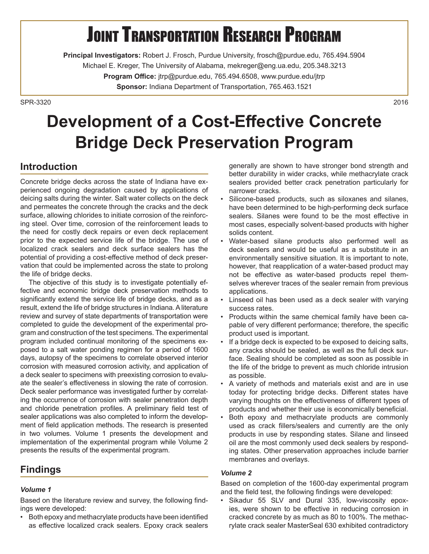# **JOINT TRANSPORTATION RESEARCH PROGRAM**

**Principal Investigators:** Robert J. Frosch, Purdue University, frosch@purdue.edu, 765.494.5904 Michael E. Kreger, The University of Alabama, mekreger@eng.ua.edu, 205.348.3213 **Program Office:** jtrp@purdue.edu, 765.494.6508, www.purdue.edu/jtrp **Sponsor:** Indiana Department of Transportation, 765.463.1521

SPR-33202016

## **Development of a Cost-Effective Concrete Bridge Deck Preservation Program**

## **Introduction**

Concrete bridge decks across the state of Indiana have experienced ongoing degradation caused by applications of deicing salts during the winter. Salt water collects on the deck and permeates the concrete through the cracks and the deck surface, allowing chlorides to initiate corrosion of the reinforcing steel. Over time, corrosion of the reinforcement leads to the need for costly deck repairs or even deck replacement prior to the expected service life of the bridge. The use of localized crack sealers and deck surface sealers has the potential of providing a cost-effective method of deck preservation that could be implemented across the state to prolong the life of bridge decks.

The objective of this study is to investigate potentially effective and economic bridge deck preservation methods to significantly extend the service life of bridge decks, and as a result, extend the life of bridge structures in Indiana. A literature review and survey of state departments of transportation were completed to guide the development of the experimental program and construction of the test specimens. The experimental program included continual monitoring of the specimens exposed to a salt water ponding regimen for a period of 1600 days, autopsy of the specimens to correlate observed interior corrosion with measured corrosion activity, and application of a deck sealer to specimens with preexisting corrosion to evaluate the sealer's effectiveness in slowing the rate of corrosion. Deck sealer performance was investigated further by correlating the occurrence of corrosion with sealer penetration depth and chloride penetration profiles. A preliminary field test of sealer applications was also completed to inform the development of field application methods. The research is presented in two volumes. Volume 1 presents the development and implementation of the experimental program while Volume 2 presents the results of the experimental program.

## **Findings**

#### *Volume 1*

Based on the literature review and survey, the following findings were developed:

• Both epoxy and methacrylate products have been identified as effective localized crack sealers. Epoxy crack sealers generally are shown to have stronger bond strength and better durability in wider cracks, while methacrylate crack sealers provided better crack penetration particularly for narrower cracks.

- Silicone-based products, such as siloxanes and silanes, have been determined to be high-performing deck surface sealers. Silanes were found to be the most effective in most cases, especially solvent-based products with higher solids content.
- Water-based silane products also performed well as deck sealers and would be useful as a substitute in an environmentally sensitive situation. It is important to note, however, that reapplication of a water-based product may not be effective as water-based products repel themselves wherever traces of the sealer remain from previous applications.
- Linseed oil has been used as a deck sealer with varying success rates.
- Products within the same chemical family have been capable of very different performance; therefore, the specific product used is important.
- If a bridge deck is expected to be exposed to deicing salts, any cracks should be sealed, as well as the full deck surface. Sealing should be completed as soon as possible in the life of the bridge to prevent as much chloride intrusion as possible.
- A variety of methods and materials exist and are in use today for protecting bridge decks. Different states have varying thoughts on the effectiveness of different types of products and whether their use is economically beneficial.
- Both epoxy and methacrylate products are commonly used as crack fillers/sealers and currently are the only products in use by responding states. Silane and linseed oil are the most commonly used deck sealers by responding states. Other preservation approaches include barrier membranes and overlays.

#### *Volume 2*

Based on completion of the 1600-day experimental program and the field test, the following findings were developed:

• Sikadur 55 SLV and Dural 335, low-viscosity epoxies, were shown to be effective in reducing corrosion in cracked concrete by as much as 80 to 100%. The methacrylate crack sealer MasterSeal 630 exhibited contradictory